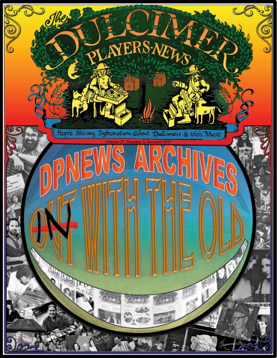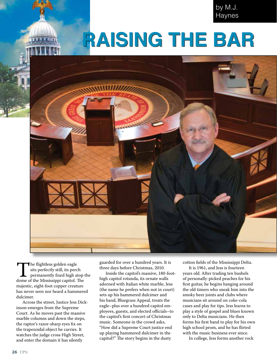by M.J. Haynes

# **Raising the bar**



The flightless golden eagle<br>sits perfectly still, its perch<br>permanently fixed high atop<br>dome of the Mississippi capitol. The sits perfectly still, its perch permanently fixed high atop the majestic, eight-foot copper creature has never seen nor heard a hammered dulcimer.

Across the street, Justice Jess Dickinson emerges from the Supreme Court. As he moves past the massive marble columns and down the steps, the raptor's razor-sharp eyes fix on the trapezoidal object he carries. It watches the judge cross High Street, and enter the domain it has silently

guarded for over a hundred years. It is three days before Christmas, 2010.

Inside the capitol's massive, 180-foothigh capitol rotunda, its ornate walls adorned with Italian white marble, Jess (the name he prefers when not in court) sets up his hammered dulcimer and his band, Bluegrass Appeal, treats the eagle–plus over a hundred capitol employees, guests, and elected officials–to the capitol's first concert of Christmas music. Someone in the crowd asks, "How did a Supreme Court justice end up playing hammered dulcimer in the capitol?" The story begins in the dusty

cotton fields of the Mississippi Delta.

It is 1961, and Jess is fourteen years old. After trading ten bushels of personally-picked peaches for his first guitar, he begins hanging around the old timers who sneak him into the smoky beer joints and clubs where musicians sit around on coke-cola cases and play for tips. Jess learns to play a style of gospel and blues known only to Delta musicians. He then forms his first band to play for his own high school prom, and he has flirted with the music business ever since.

In college, Jess forms another rock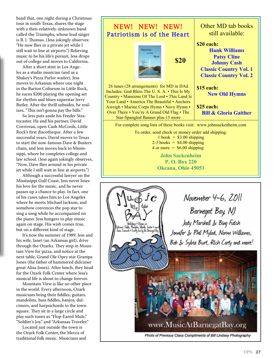band that, one night during a Christmas tour in south Texas, shares the stage with a then-relatively-unknown band called the Triumphs, whose lead singer is B. J. Thomas. (Jess jokingly observes: "He now flies in a private jet while I still wait in line at airports.") Believing music to be his life's pursuit, Jess drops out of college and moves to California.

After a short stint in Los Angeles as a studio musician (and as a Shakey's Pizza Parlor waiter), Jess moves to Arkansas where one night in the Barton Coliseum in Little Rock, he earns \$200 playing the opening set for rhythm and blues superstar Jerry Butler. After the thrill subsides, he realizes, "This isn't gonna pay the bills."

So Jess puts aside his Fender Stratocaster. He and his partner, David Corriveau, open Cash McCools, Little Rock's first discotheque. After a few successful years, David moves to Texas to start the now-famous Dave & Busters chain, and Jess moves back to Mississippi, where he completes college and law school. (Jess again jokingly observes, "Now, Dave flies around in his private jet while I still wait in line at airports.")

Although a successful lawyer on the Mississippi Gulf Coast, Jess never loses his love for the music, and he never passes up a chance to play. In fact, one of his cases takes him to Los Angeles where he meets Michael Jackson, and somehow convinces the pop star to sing a song while he accompanied on the piano. Jess hungers to play music again on stage. His wish comes true, but on a different kind of stage.

It's now the summer of 1989. Jess and his wife, Janet (an Arkansas girl), drive through the Ozarks. They stop in Mountain View for pizza, and notice at the next table, Grand Ole Opry star Grampa Jones (the father of hammered dulcimer great Alisa Jones). After lunch, they head for the Ozark Folk Center where Jess's musical life is about to change forever.

Mountain View is like no other place in the world. Every afternoon, Ozark musicians bring their fiddles, guitars, mandolins, bass fiddles, banjos, dulcimers, and harpsichords to the town square. They sit in a large circle and play such tunes as "Flop-Eared Mule," "Soldier's Joy," and "Arkansas Traveler."

Located just outside the town is the Ozark Folk Center, the Mecca of traditional folk music. Musicians and



www.MusicAtBarnegatBay.org

Photo of Previous Class Compliments of Bill Lindsey Photography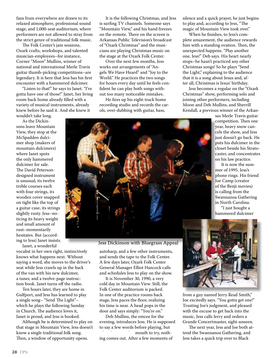fans from everywhere are drawn to its relaxed atmosphere, professional sound stage, and 1,000-seat auditorium, where performers are not allowed to stray from the strict genre of traditional folk music.

The Folk Center's jam sessions, Ozark crafts, workshops, and talented musician-employees–for instance, Corner "Moon" Mullins, winner of national and international Merle Travis guitar thumb-picking competitions–are legendary. It is here that Jess has his first encounter with a hammered dulcimer.

"Listen to that!" he says to Janet. "I've gotta have one of those!" Janet, her living room back home already filled with a variety of musical instruments, already knew before he said it. And she knew it

wouldn't take long.

As the Dickinsons leave Mountain View, they stop at the McSpadden dulcimer shop (makers of mountain dulcimers) where Janet spots the only hammered dulcimer for sale. The David Petersondesigned instrument is unusual, its twelve treble courses each with four strings, its wooden cover snapped on tight like the top of a guitar case, its strings slightly rusty. Jess–noticing its heavy weight and small amount of rust–momentarily hesitates. But (according to Jess) Janet insists.

Janet, a wonderful

vocalist in her own right, instinctively knows what happens next. Without saying a word, she moves to the driver's seat while Jess crawls up in the back of the van with his new dulcimer, a tuner, and a twelve-page instruction book. Janet turns off the radio.

Ten hours later, they are home in Gulfport, and Jess has learned to play a single song– "Send The Light"– which he plays the following Sunday in Church. The audience loves it, Janet is proud, and Jess is hooked.

Although he is determined to play on that stage in Mountain View, Jess doesn't know a single traditional folk song. Then, a window of opportunity opens.

It is the following Christmas, and Jess is surfing TV channels. Someone says "Mountain View," and his hand freezes on the remote. There on the screen is Arkansas Public Television's broadcast of "Ozark Christmas" and the musicians are playing Christmas music on the stage at the Ozark Folk Center.

Over the next few months, Jess works out arrangements of "Angels We Have Heard" and "Joy to the World." He practices the two songs for hours every day until he feels confident he can play both songs without too many noticeable mistakes.

He fires up his eight-track home recording studio and records the carols, over-dubbing with guitar, bass,

silence and a quick prayer, he just begins to play and, according to Jess, "The magic of Mountain View took over."

When he finishes, to Jess's complete amazement, the audience rewards him with a standing ovation. Then, the unexpected happens. "Play another one, Jess!" Deb says. His heart nearly stops–he hasn't practiced any other Christmas songs! So he plays "Send the Light," explaining to the audience that it is a song about Jesus and, after all, Christmas is Jesus' birthday.

Jess becomes a regular on the "Ozark Christmas" show, performing solo and joining other performers, including Moon and Deb Mullins, and Sherrill Kendall, a previous winner of the Arkan-

sas Merle Travis guitar competition. Then one year, heavy snow cancels the show, and Jess just doesn't go back. He puts his dulcimer in the closet beside his Stratocaster, and concentrates on his law practice.

It is now the summer of 1995. Jess's phone rings. His friend Joe Camp (creator of the Benji movies) is calling from the Swannanoa Gathering in North Carolina.

"I just bought a hammered dulcimer

Jess Dickinson with Bluegrass Appeal

autoharp, and a few other instruments, and sends the tape to the Folk Center. A few days later, Ozark Folk Center General Manager Elliot Hancock calls and schedules Jess to play on the show.

It is November 30, 1990, a very cold day in Mountain View. Still, the Folk Center auditorium is packed. In one of the practice rooms back stage, Jess paces the floor, realizing his time is near. A head pops in the door and says simply: "You're on."

Deb Mullins, the emcee for the evening, introduces Jess. He is supposed to say a few words before playing, but mouth to try, noth-

ing comes out. After a few moments of



from a guy named Jerry Read Smith," Joe excitedly says. "You gotta get one!" Trusting Joe's judgment, and pleased with the excuse to get back into the music, Jess calls Jerry and orders a Grande Concertmaster, sight-unseen.

The next year, Jess and Joe both attend the Swannanoa Gathering, and Jess takes a quick trip over to Black